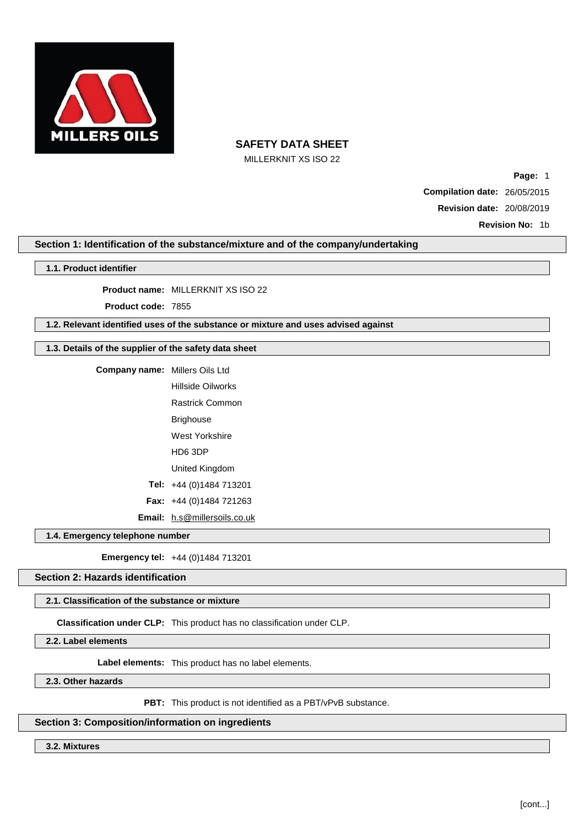

MILLERKNIT XS ISO 22

**Page:** 1 **Compilation date:** 26/05/2015 **Revision date:** 20/08/2019

**Revision No:** 1b

# **Section 1: Identification of the substance/mixture and of the company/undertaking**

### **1.1. Product identifier**

**Product name:** MILLERKNIT XS ISO 22

**Product code:** 7855

# **1.2. Relevant identified uses of the substance or mixture and uses advised against**

# **1.3. Details of the supplier of the safety data sheet**

| <b>Company name:</b> Millers Oils Ltd |                                     |  |
|---------------------------------------|-------------------------------------|--|
|                                       | Hillside Oilworks                   |  |
|                                       | <b>Rastrick Common</b>              |  |
|                                       | Brighouse                           |  |
|                                       | West Yorkshire                      |  |
|                                       | HD6 3DP                             |  |
|                                       | United Kingdom                      |  |
|                                       | Tel: $+44(0)1484713201$             |  |
|                                       | <b>Fax:</b> $+44$ (0)1484 721263    |  |
|                                       | <b>Email:</b> h.s@millersoils.co.uk |  |

**1.4. Emergency telephone number**

**Emergency tel:** +44 (0)1484 713201

# **Section 2: Hazards identification**

### **2.1. Classification of the substance or mixture**

**Classification under CLP:** This product has no classification under CLP.

**2.2. Label elements**

**Label elements:** This product has no label elements.

**2.3. Other hazards**

**PBT:** This product is not identified as a PBT/vPvB substance.

### **Section 3: Composition/information on ingredients**

**3.2. Mixtures**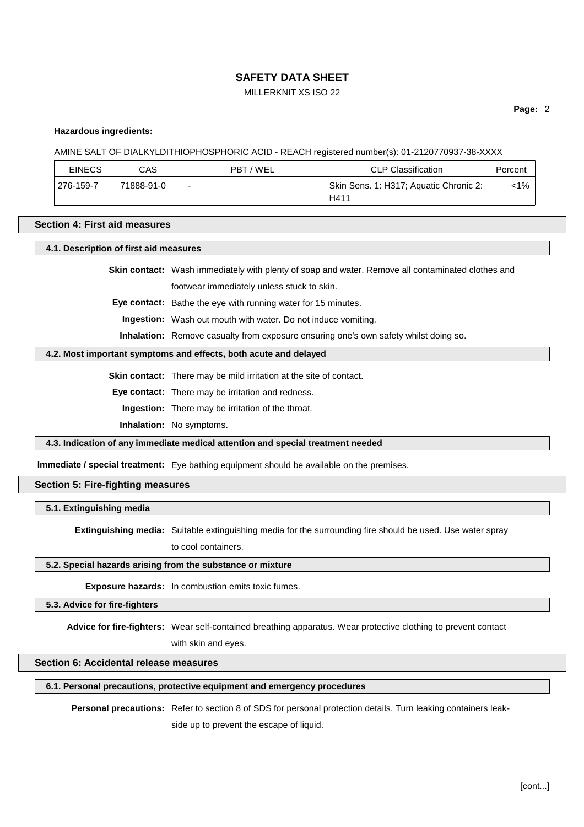# MILLERKNIT XS ISO 22

**Page:** 2

#### **Hazardous ingredients:**

AMINE SALT OF DIALKYLDITHIOPHOSPHORIC ACID - REACH registered number(s): 01-2120770937-38-XXXX

| <b>EINECS</b>    | CAS        | PBT/WEL | <b>CLP Classification</b>              | Percent |
|------------------|------------|---------|----------------------------------------|---------|
| $1276 - 159 - 7$ | 71888-91-0 | -       | Skin Sens. 1: H317; Aquatic Chronic 2: | <1%     |
|                  |            |         | H411                                   |         |

#### **Section 4: First aid measures**

**4.1. Description of first aid measures**

**Skin contact:** Wash immediately with plenty of soap and water. Remove all contaminated clothes and footwear immediately unless stuck to skin.

**Eye contact:** Bathe the eye with running water for 15 minutes.

**Ingestion:** Wash out mouth with water. Do not induce vomiting.

**Inhalation:** Remove casualty from exposure ensuring one's own safety whilst doing so.

#### **4.2. Most important symptoms and effects, both acute and delayed**

**Skin contact:** There may be mild irritation at the site of contact.

**Eye contact:** There may be irritation and redness.

**Ingestion:** There may be irritation of the throat.

**Inhalation:** No symptoms.

**4.3. Indication of any immediate medical attention and special treatment needed**

**Immediate / special treatment:** Eye bathing equipment should be available on the premises.

# **Section 5: Fire-fighting measures**

#### **5.1. Extinguishing media**

**Extinguishing media:** Suitable extinguishing media for the surrounding fire should be used. Use water spray

to cool containers.

### **5.2. Special hazards arising from the substance or mixture**

**Exposure hazards:** In combustion emits toxic fumes.

### **5.3. Advice for fire-fighters**

**Advice for fire-fighters:** Wear self-contained breathing apparatus. Wear protective clothing to prevent contact

with skin and eyes.

# **Section 6: Accidental release measures**

# **6.1. Personal precautions, protective equipment and emergency procedures**

**Personal precautions:** Refer to section 8 of SDS for personal protection details. Turn leaking containers leakside up to prevent the escape of liquid.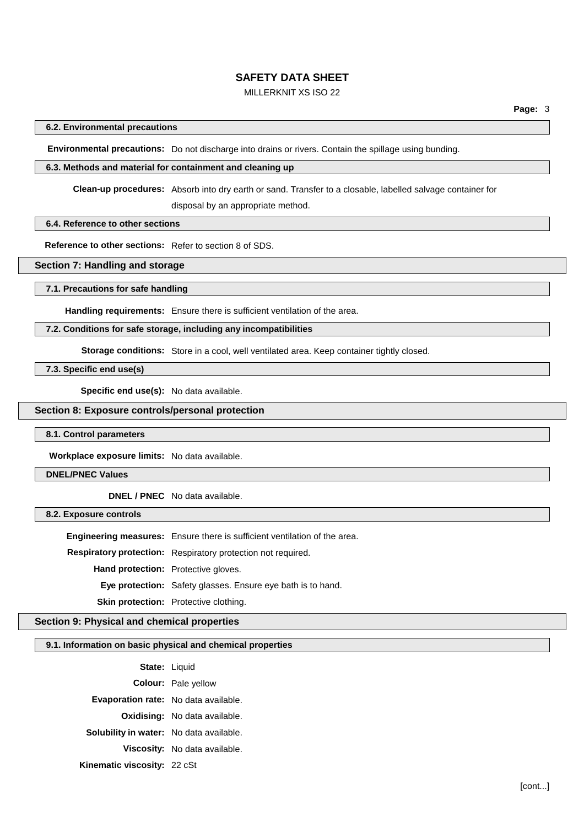# MILLERKNIT XS ISO 22

### **6.2. Environmental precautions**

**Environmental precautions:** Do not discharge into drains or rivers. Contain the spillage using bunding.

### **6.3. Methods and material for containment and cleaning up**

**Clean-up procedures:** Absorb into dry earth or sand. Transfer to a closable, labelled salvage container for

disposal by an appropriate method.

# **6.4. Reference to other sections**

**Reference to other sections:** Refer to section 8 of SDS.

# **Section 7: Handling and storage**

#### **7.1. Precautions for safe handling**

**Handling requirements:** Ensure there is sufficient ventilation of the area.

# **7.2. Conditions for safe storage, including any incompatibilities**

**Storage conditions:** Store in a cool, well ventilated area. Keep container tightly closed.

**7.3. Specific end use(s)**

**Specific end use(s):** No data available.

# **Section 8: Exposure controls/personal protection**

**8.1. Control parameters**

**Workplace exposure limits:** No data available.

# **DNEL/PNEC Values**

**DNEL / PNEC** No data available.

**8.2. Exposure controls**

**Engineering measures:** Ensure there is sufficient ventilation of the area.

**Respiratory protection:** Respiratory protection not required.

**Hand protection:** Protective gloves.

**Eye protection:** Safety glasses. Ensure eye bath is to hand.

**Skin protection:** Protective clothing.

# **Section 9: Physical and chemical properties**

#### **9.1. Information on basic physical and chemical properties**

**State:** Liquid **Colour:** Pale yellow **Evaporation rate:** No data available. **Oxidising:** No data available. **Solubility in water:** No data available. **Viscosity:** No data available. **Kinematic viscosity:** 22 cSt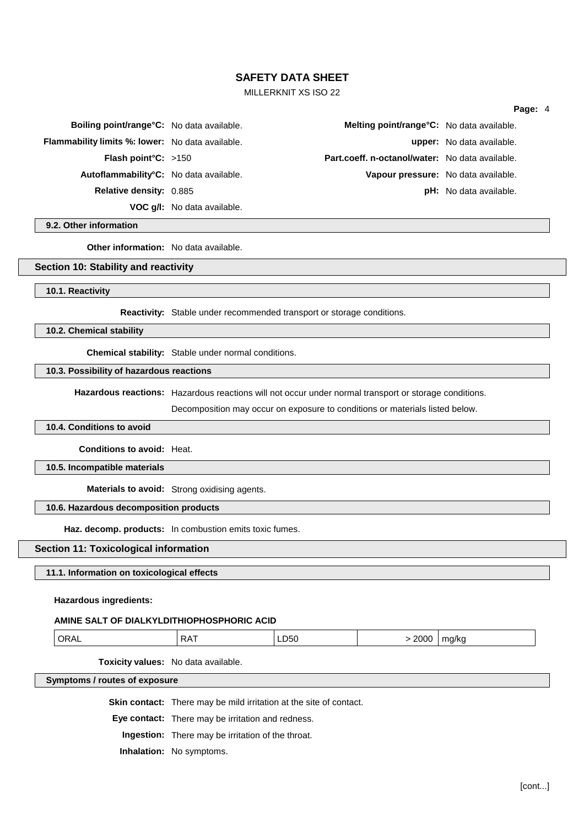# MILLERKNIT XS ISO 22

#### **Page:** 4

| Boiling point/range°C: No data available.               |                                    | Melting point/range°C: No data available.              |                                  |
|---------------------------------------------------------|------------------------------------|--------------------------------------------------------|----------------------------------|
| <b>Flammability limits %: lower:</b> No data available. |                                    |                                                        | <b>upper:</b> No data available. |
| <b>Flash point °C:</b> $>150$                           |                                    | <b>Part.coeff. n-octanol/water:</b> No data available. |                                  |
| Autoflammability°C: No data available.                  |                                    | Vapour pressure: No data available.                    |                                  |
| <b>Relative density: 0.885</b>                          |                                    |                                                        | <b>pH:</b> No data available.    |
|                                                         | <b>VOC g/l:</b> No data available. |                                                        |                                  |

**9.2. Other information**

**Other information:** No data available.

### **Section 10: Stability and reactivity**

#### **10.1. Reactivity**

**Reactivity:** Stable under recommended transport or storage conditions.

### **10.2. Chemical stability**

**Chemical stability:** Stable under normal conditions.

### **10.3. Possibility of hazardous reactions**

**Hazardous reactions:** Hazardous reactions will not occur under normal transport or storage conditions.

Decomposition may occur on exposure to conditions or materials listed below.

### **10.4. Conditions to avoid**

**Conditions to avoid:** Heat.

# **10.5. Incompatible materials**

**Materials to avoid:** Strong oxidising agents.

### **10.6. Hazardous decomposition products**

**Haz. decomp. products:** In combustion emits toxic fumes.

# **Section 11: Toxicological information**

### **11.1. Information on toxicological effects**

#### **Hazardous ingredients:**

### **AMINE SALT OF DIALKYLDITHIOPHOSPHORIC ACID**

| ۱ь<br>$\cdot$<br>,<br>___ | ----<br>ma/kr<br>700L. |
|---------------------------|------------------------|
|---------------------------|------------------------|

**Toxicity values:** No data available.

**Symptoms / routes of exposure**

**Skin contact:** There may be mild irritation at the site of contact.

**Eye contact:** There may be irritation and redness.

**Ingestion:** There may be irritation of the throat.

**Inhalation:** No symptoms.